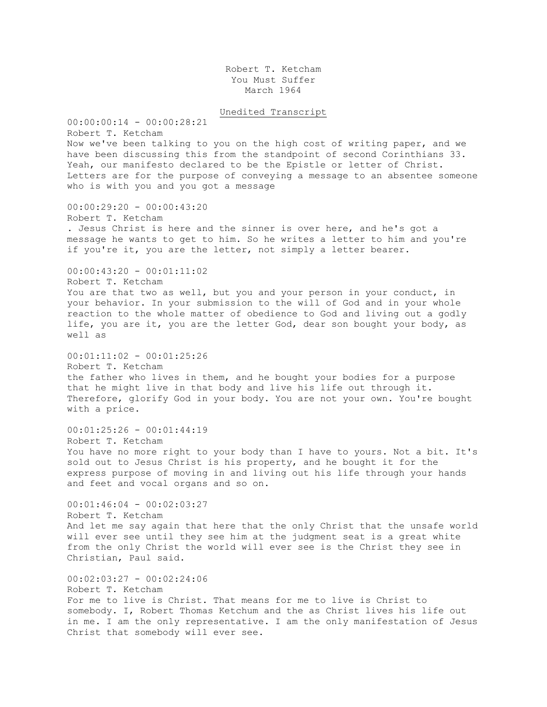Robert T. Ketcham You Must Suffer March 1964

Unedited Transcript

00:00:00:14 - 00:00:28:21 Robert T. Ketcham Now we've been talking to you on the high cost of writing paper, and we have been discussing this from the standpoint of second Corinthians 33. Yeah, our manifesto declared to be the Epistle or letter of Christ. Letters are for the purpose of conveying a message to an absentee someone who is with you and you got a message 00:00:29:20 - 00:00:43:20 Robert T. Ketcham . Jesus Christ is here and the sinner is over here, and he's got a message he wants to get to him. So he writes a letter to him and you're if you're it, you are the letter, not simply a letter bearer. 00:00:43:20 - 00:01:11:02 Robert T. Ketcham You are that two as well, but you and your person in your conduct, in your behavior. In your submission to the will of God and in your whole reaction to the whole matter of obedience to God and living out a godly life, you are it, you are the letter God, dear son bought your body, as well as  $00:01:11:02 - 00:01:25:26$ Robert T. Ketcham the father who lives in them, and he bought your bodies for a purpose that he might live in that body and live his life out through it. Therefore, glorify God in your body. You are not your own. You're bought with a price. 00:01:25:26 - 00:01:44:19 Robert T. Ketcham You have no more right to your body than I have to yours. Not a bit. It's sold out to Jesus Christ is his property, and he bought it for the express purpose of moving in and living out his life through your hands and feet and vocal organs and so on.  $00:01:46:04 - 00:02:03:27$ Robert T. Ketcham And let me say again that here that the only Christ that the unsafe world will ever see until they see him at the judgment seat is a great white from the only Christ the world will ever see is the Christ they see in Christian, Paul said. 00:02:03:27 - 00:02:24:06 Robert T. Ketcham For me to live is Christ. That means for me to live is Christ to somebody. I, Robert Thomas Ketchum and the as Christ lives his life out in me. I am the only representative. I am the only manifestation of Jesus

Christ that somebody will ever see.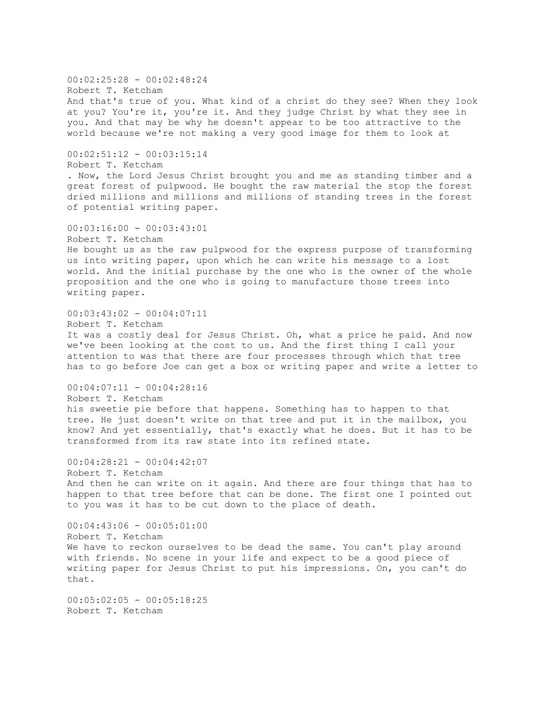00:02:25:28 - 00:02:48:24 Robert T. Ketcham And that's true of you. What kind of a christ do they see? When they look at you? You're it, you're it. And they judge Christ by what they see in you. And that may be why he doesn't appear to be too attractive to the world because we're not making a very good image for them to look at  $00:02:51:12 - 00:03:15:14$ Robert T. Ketcham . Now, the Lord Jesus Christ brought you and me as standing timber and a great forest of pulpwood. He bought the raw material the stop the forest dried millions and millions and millions of standing trees in the forest of potential writing paper. 00:03:16:00 - 00:03:43:01 Robert T. Ketcham He bought us as the raw pulpwood for the express purpose of transforming us into writing paper, upon which he can write his message to a lost world. And the initial purchase by the one who is the owner of the whole proposition and the one who is going to manufacture those trees into writing paper. 00:03:43:02 - 00:04:07:11 Robert T. Ketcham It was a costly deal for Jesus Christ. Oh, what a price he paid. And now we've been looking at the cost to us. And the first thing I call your attention to was that there are four processes through which that tree has to go before Joe can get a box or writing paper and write a letter to 00:04:07:11 - 00:04:28:16 Robert T. Ketcham his sweetie pie before that happens. Something has to happen to that tree. He just doesn't write on that tree and put it in the mailbox, you know? And yet essentially, that's exactly what he does. But it has to be transformed from its raw state into its refined state. 00:04:28:21 - 00:04:42:07 Robert T. Ketcham And then he can write on it again. And there are four things that has to happen to that tree before that can be done. The first one I pointed out to you was it has to be cut down to the place of death. 00:04:43:06 - 00:05:01:00 Robert T. Ketcham We have to reckon ourselves to be dead the same. You can't play around with friends. No scene in your life and expect to be a good piece of writing paper for Jesus Christ to put his impressions. On, you can't do that. 00:05:02:05 - 00:05:18:25 Robert T. Ketcham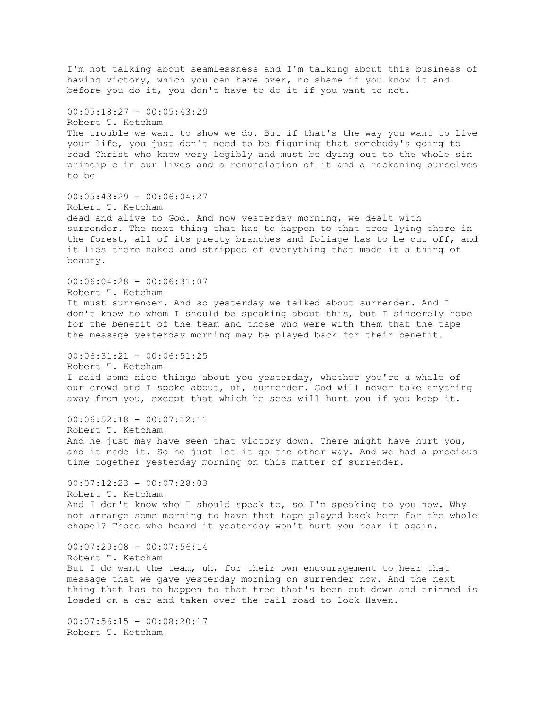I'm not talking about seamlessness and I'm talking about this business of having victory, which you can have over, no shame if you know it and before you do it, you don't have to do it if you want to not.  $00:05:18:27 - 00:05:43:29$ Robert T. Ketcham The trouble we want to show we do. But if that's the way you want to live your life, you just don't need to be figuring that somebody's going to read Christ who knew very legibly and must be dying out to the whole sin principle in our lives and a renunciation of it and a reckoning ourselves to be  $00:05:43:29 - 00:06:04:27$ Robert T. Ketcham dead and alive to God. And now yesterday morning, we dealt with surrender. The next thing that has to happen to that tree lying there in the forest, all of its pretty branches and foliage has to be cut off, and it lies there naked and stripped of everything that made it a thing of beauty. 00:06:04:28 - 00:06:31:07 Robert T. Ketcham It must surrender. And so yesterday we talked about surrender. And I don't know to whom I should be speaking about this, but I sincerely hope for the benefit of the team and those who were with them that the tape the message yesterday morning may be played back for their benefit.  $00:06:31:21 - 00:06:51:25$ Robert T. Ketcham I said some nice things about you yesterday, whether you're a whale of our crowd and I spoke about, uh, surrender. God will never take anything away from you, except that which he sees will hurt you if you keep it.  $00:06:52:18 - 00:07:12:11$ Robert T. Ketcham And he just may have seen that victory down. There might have hurt you, and it made it. So he just let it go the other way. And we had a precious time together yesterday morning on this matter of surrender.  $00:07:12:23 - 00:07:28:03$ Robert T. Ketcham And I don't know who I should speak to, so I'm speaking to you now. Why not arrange some morning to have that tape played back here for the whole chapel? Those who heard it yesterday won't hurt you hear it again. 00:07:29:08 - 00:07:56:14 Robert T. Ketcham But I do want the team, uh, for their own encouragement to hear that message that we gave yesterday morning on surrender now. And the next thing that has to happen to that tree that's been cut down and trimmed is loaded on a car and taken over the rail road to lock Haven.  $00:07:56:15 - 00:08:20:17$ Robert T. Ketcham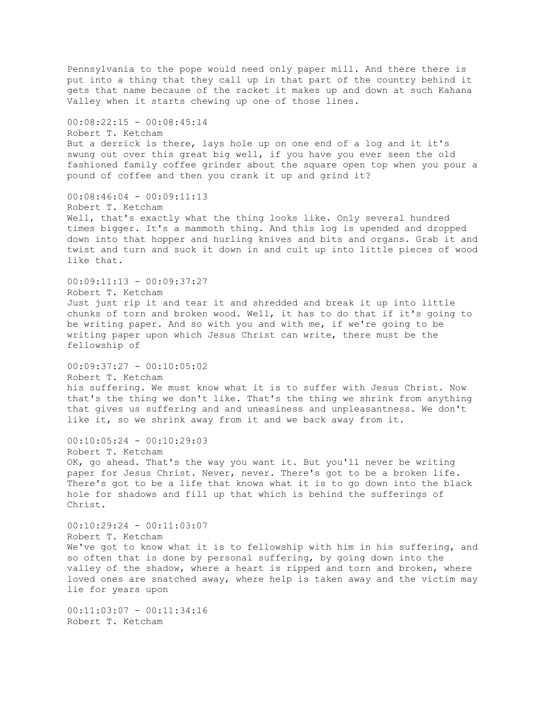Pennsylvania to the pope would need only paper mill. And there there is put into a thing that they call up in that part of the country behind it gets that name because of the racket it makes up and down at such Kahana Valley when it starts chewing up one of those lines. 00:08:22:15 - 00:08:45:14 Robert T. Ketcham But a derrick is there, lays hole up on one end of a log and it it's swung out over this great big well, if you have you ever seen the old fashioned family coffee grinder about the square open top when you pour a pound of coffee and then you crank it up and grind it? 00:08:46:04 - 00:09:11:13 Robert T. Ketcham Well, that's exactly what the thing looks like. Only several hundred times bigger. It's a mammoth thing. And this log is upended and dropped down into that hopper and hurling knives and bits and organs. Grab it and twist and turn and suck it down in and cuit up into little pieces of wood like that.  $00:09:11:13 - 00:09:37:27$ Robert T. Ketcham Just just rip it and tear it and shredded and break it up into little chunks of torn and broken wood. Well, it has to do that if it's going to be writing paper. And so with you and with me, if we're going to be writing paper upon which Jesus Christ can write, there must be the fellowship of 00:09:37:27 - 00:10:05:02 Robert T. Ketcham his suffering. We must know what it is to suffer with Jesus Christ. Now that's the thing we don't like. That's the thing we shrink from anything that gives us suffering and and uneasiness and unpleasantness. We don't like it, so we shrink away from it and we back away from it.  $00:10:05:24 - 00:10:29:03$ Robert T. Ketcham OK, go ahead. That's the way you want it. But you'll never be writing paper for Jesus Christ. Never, never. There's got to be a broken life. There's got to be a life that knows what it is to go down into the black hole for shadows and fill up that which is behind the sufferings of Christ. 00:10:29:24 - 00:11:03:07 Robert T. Ketcham We've got to know what it is to fellowship with him in his suffering, and so often that is done by personal suffering, by going down into the valley of the shadow, where a heart is ripped and torn and broken, where loved ones are snatched away, where help is taken away and the victim may lie for years upon 00:11:03:07 - 00:11:34:16 Robert T. Ketcham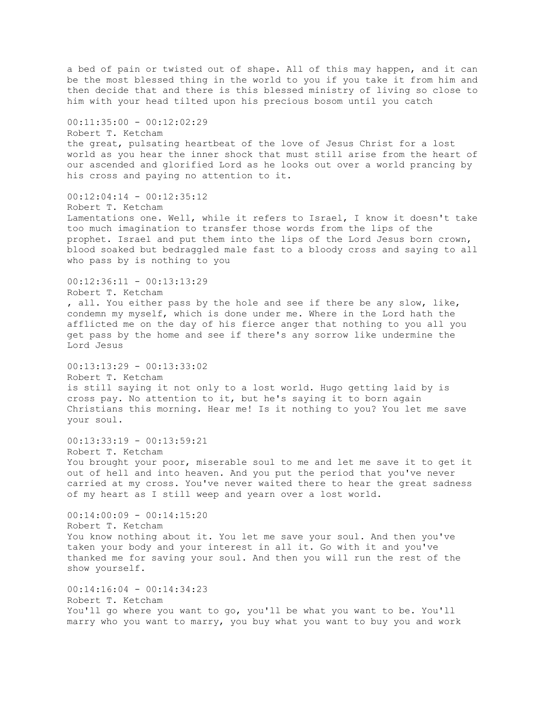a bed of pain or twisted out of shape. All of this may happen, and it can be the most blessed thing in the world to you if you take it from him and then decide that and there is this blessed ministry of living so close to him with your head tilted upon his precious bosom until you catch 00:11:35:00 - 00:12:02:29 Robert T. Ketcham the great, pulsating heartbeat of the love of Jesus Christ for a lost world as you hear the inner shock that must still arise from the heart of our ascended and glorified Lord as he looks out over a world prancing by his cross and paying no attention to it. 00:12:04:14 - 00:12:35:12 Robert T. Ketcham Lamentations one. Well, while it refers to Israel, I know it doesn't take too much imagination to transfer those words from the lips of the prophet. Israel and put them into the lips of the Lord Jesus born crown, blood soaked but bedraggled male fast to a bloody cross and saying to all who pass by is nothing to you  $00:12:36:11 - 00:13:13:29$ Robert T. Ketcham , all. You either pass by the hole and see if there be any slow, like, condemn my myself, which is done under me. Where in the Lord hath the afflicted me on the day of his fierce anger that nothing to you all you get pass by the home and see if there's any sorrow like undermine the Lord Jesus 00:13:13:29 - 00:13:33:02 Robert T. Ketcham is still saying it not only to a lost world. Hugo getting laid by is cross pay. No attention to it, but he's saying it to born again Christians this morning. Hear me! Is it nothing to you? You let me save your soul.  $00:13:33:19 - 00:13:59:21$ Robert T. Ketcham You brought your poor, miserable soul to me and let me save it to get it out of hell and into heaven. And you put the period that you've never carried at my cross. You've never waited there to hear the great sadness of my heart as I still weep and yearn over a lost world. 00:14:00:09 - 00:14:15:20 Robert T. Ketcham You know nothing about it. You let me save your soul. And then you've taken your body and your interest in all it. Go with it and you've thanked me for saving your soul. And then you will run the rest of the show yourself. 00:14:16:04 - 00:14:34:23 Robert T. Ketcham You'll go where you want to go, you'll be what you want to be. You'll marry who you want to marry, you buy what you want to buy you and work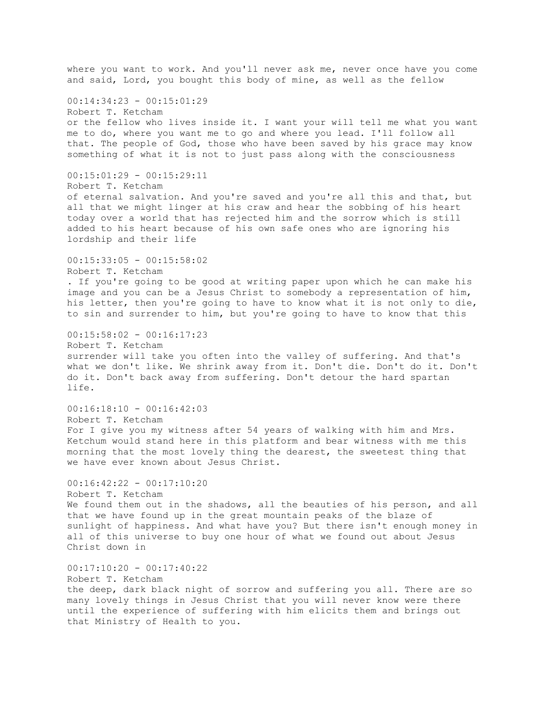where you want to work. And you'll never ask me, never once have you come and said, Lord, you bought this body of mine, as well as the fellow 00:14:34:23 - 00:15:01:29 Robert T. Ketcham or the fellow who lives inside it. I want your will tell me what you want me to do, where you want me to go and where you lead. I'll follow all that. The people of God, those who have been saved by his grace may know something of what it is not to just pass along with the consciousness  $00:15:01:29 - 00:15:29:11$ Robert T. Ketcham of eternal salvation. And you're saved and you're all this and that, but all that we might linger at his craw and hear the sobbing of his heart today over a world that has rejected him and the sorrow which is still added to his heart because of his own safe ones who are ignoring his lordship and their life 00:15:33:05 - 00:15:58:02 Robert T. Ketcham . If you're going to be good at writing paper upon which he can make his image and you can be a Jesus Christ to somebody a representation of him, his letter, then you're going to have to know what it is not only to die, to sin and surrender to him, but you're going to have to know that this 00:15:58:02 - 00:16:17:23 Robert T. Ketcham surrender will take you often into the valley of suffering. And that's what we don't like. We shrink away from it. Don't die. Don't do it. Don't do it. Don't back away from suffering. Don't detour the hard spartan life.  $00:16:18:10 - 00:16:42:03$ Robert T. Ketcham For I give you my witness after 54 years of walking with him and Mrs. Ketchum would stand here in this platform and bear witness with me this morning that the most lovely thing the dearest, the sweetest thing that we have ever known about Jesus Christ.  $00:16:42:22 - 00:17:10:20$ Robert T. Ketcham We found them out in the shadows, all the beauties of his person, and all that we have found up in the great mountain peaks of the blaze of sunlight of happiness. And what have you? But there isn't enough money in all of this universe to buy one hour of what we found out about Jesus Christ down in  $00:17:10:20 - 00:17:40:22$ Robert T. Ketcham the deep, dark black night of sorrow and suffering you all. There are so many lovely things in Jesus Christ that you will never know were there until the experience of suffering with him elicits them and brings out that Ministry of Health to you.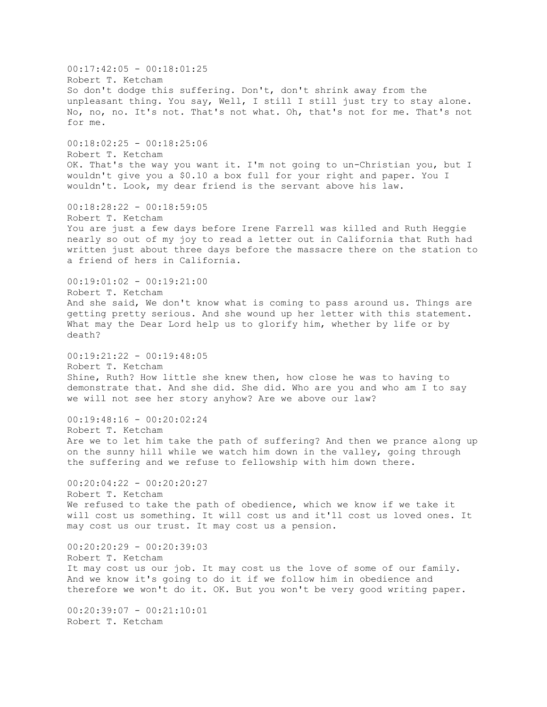$00:17:42:05 - 00:18:01:25$ Robert T. Ketcham So don't dodge this suffering. Don't, don't shrink away from the unpleasant thing. You say, Well, I still I still just try to stay alone. No, no, no. It's not. That's not what. Oh, that's not for me. That's not for me. 00:18:02:25 - 00:18:25:06 Robert T. Ketcham OK. That's the way you want it. I'm not going to un-Christian you, but I wouldn't give you a \$0.10 a box full for your right and paper. You I wouldn't. Look, my dear friend is the servant above his law. 00:18:28:22 - 00:18:59:05 Robert T. Ketcham You are just a few days before Irene Farrell was killed and Ruth Heggie nearly so out of my joy to read a letter out in California that Ruth had written just about three days before the massacre there on the station to a friend of hers in California. 00:19:01:02 - 00:19:21:00 Robert T. Ketcham And she said, We don't know what is coming to pass around us. Things are getting pretty serious. And she wound up her letter with this statement. What may the Dear Lord help us to glorify him, whether by life or by death?  $00:19:21:22 - 00:19:48:05$ Robert T. Ketcham Shine, Ruth? How little she knew then, how close he was to having to demonstrate that. And she did. She did. Who are you and who am I to say we will not see her story anyhow? Are we above our law?  $00:19:48:16 - 00:20:02:24$ Robert T. Ketcham Are we to let him take the path of suffering? And then we prance along up on the sunny hill while we watch him down in the valley, going through the suffering and we refuse to fellowship with him down there.  $00:20:04:22 - 00:20:20:27$ Robert T. Ketcham We refused to take the path of obedience, which we know if we take it will cost us something. It will cost us and it'll cost us loved ones. It may cost us our trust. It may cost us a pension.  $00:20:20:29 - 00:20:39:03$ Robert T. Ketcham It may cost us our job. It may cost us the love of some of our family. And we know it's going to do it if we follow him in obedience and therefore we won't do it. OK. But you won't be very good writing paper. 00:20:39:07 - 00:21:10:01 Robert T. Ketcham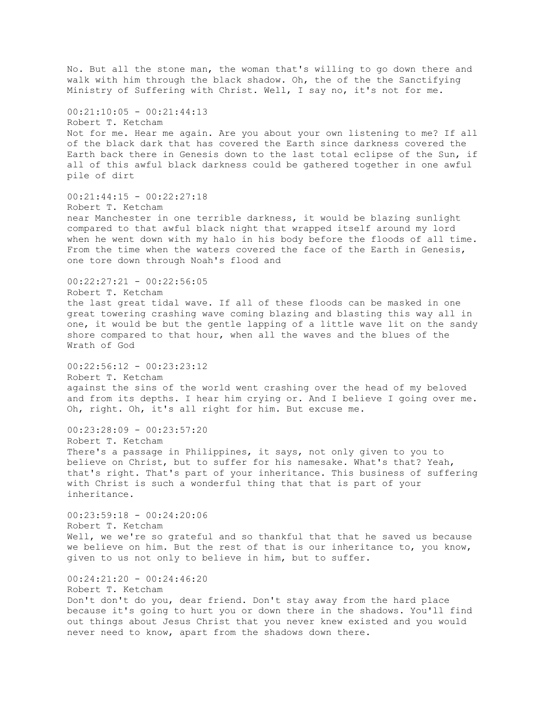No. But all the stone man, the woman that's willing to go down there and walk with him through the black shadow. Oh, the of the the Sanctifying Ministry of Suffering with Christ. Well, I say no, it's not for me.  $00:21:10:05 - 00:21:44:13$ Robert T. Ketcham Not for me. Hear me again. Are you about your own listening to me? If all of the black dark that has covered the Earth since darkness covered the Earth back there in Genesis down to the last total eclipse of the Sun, if all of this awful black darkness could be gathered together in one awful pile of dirt  $00:21:44:15 - 00:22:27:18$ Robert T. Ketcham near Manchester in one terrible darkness, it would be blazing sunlight compared to that awful black night that wrapped itself around my lord when he went down with my halo in his body before the floods of all time. From the time when the waters covered the face of the Earth in Genesis, one tore down through Noah's flood and  $00:22:27:21 - 00:22:56:05$ Robert T. Ketcham the last great tidal wave. If all of these floods can be masked in one great towering crashing wave coming blazing and blasting this way all in one, it would be but the gentle lapping of a little wave lit on the sandy shore compared to that hour, when all the waves and the blues of the Wrath of God  $00:22:56:12 - 00:23:23:12$ Robert T. Ketcham against the sins of the world went crashing over the head of my beloved and from its depths. I hear him crying or. And I believe I going over me. Oh, right. Oh, it's all right for him. But excuse me.  $00:23:28:09 - 00:23:57:20$ Robert T. Ketcham There's a passage in Philippines, it says, not only given to you to believe on Christ, but to suffer for his namesake. What's that? Yeah, that's right. That's part of your inheritance. This business of suffering with Christ is such a wonderful thing that that is part of your inheritance. 00:23:59:18 - 00:24:20:06 Robert T. Ketcham Well, we we're so grateful and so thankful that that he saved us because we believe on him. But the rest of that is our inheritance to, you know, given to us not only to believe in him, but to suffer. 00:24:21:20 - 00:24:46:20 Robert T. Ketcham Don't don't do you, dear friend. Don't stay away from the hard place because it's going to hurt you or down there in the shadows. You'll find out things about Jesus Christ that you never knew existed and you would never need to know, apart from the shadows down there.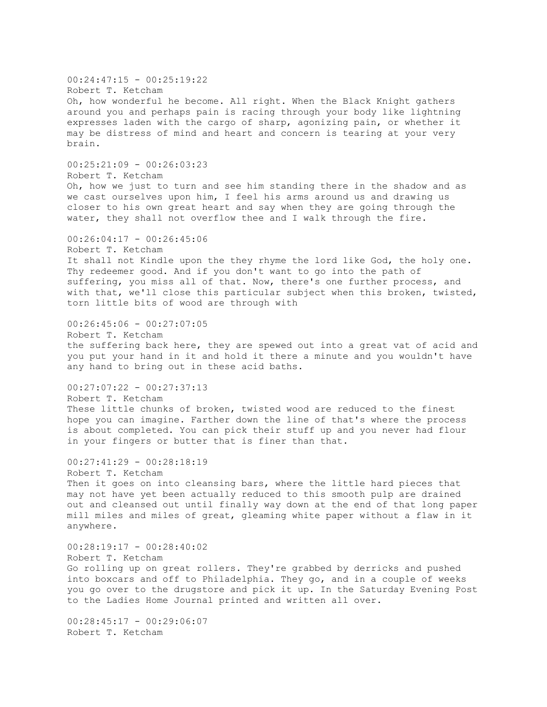$00:24:47:15 - 00:25:19:22$ Robert T. Ketcham Oh, how wonderful he become. All right. When the Black Knight gathers around you and perhaps pain is racing through your body like lightning expresses laden with the cargo of sharp, agonizing pain, or whether it may be distress of mind and heart and concern is tearing at your very brain.  $00:25:21:09 - 00:26:03:23$ Robert T. Ketcham Oh, how we just to turn and see him standing there in the shadow and as we cast ourselves upon him, I feel his arms around us and drawing us closer to his own great heart and say when they are going through the water, they shall not overflow thee and I walk through the fire.  $00:26:04:17 - 00:26:45:06$ Robert T. Ketcham It shall not Kindle upon the they rhyme the lord like God, the holy one. Thy redeemer good. And if you don't want to go into the path of suffering, you miss all of that. Now, there's one further process, and with that, we'll close this particular subject when this broken, twisted, torn little bits of wood are through with 00:26:45:06 - 00:27:07:05 Robert T. Ketcham the suffering back here, they are spewed out into a great vat of acid and you put your hand in it and hold it there a minute and you wouldn't have any hand to bring out in these acid baths. 00:27:07:22 - 00:27:37:13 Robert T. Ketcham These little chunks of broken, twisted wood are reduced to the finest hope you can imagine. Farther down the line of that's where the process is about completed. You can pick their stuff up and you never had flour in your fingers or butter that is finer than that. 00:27:41:29 - 00:28:18:19 Robert T. Ketcham Then it goes on into cleansing bars, where the little hard pieces that may not have yet been actually reduced to this smooth pulp are drained out and cleansed out until finally way down at the end of that long paper mill miles and miles of great, gleaming white paper without a flaw in it anywhere.  $00:28:19:17 - 00:28:40:02$ Robert T. Ketcham Go rolling up on great rollers. They're grabbed by derricks and pushed into boxcars and off to Philadelphia. They go, and in a couple of weeks you go over to the drugstore and pick it up. In the Saturday Evening Post to the Ladies Home Journal printed and written all over.  $00:28:45:17 - 00:29:06:07$ Robert T. Ketcham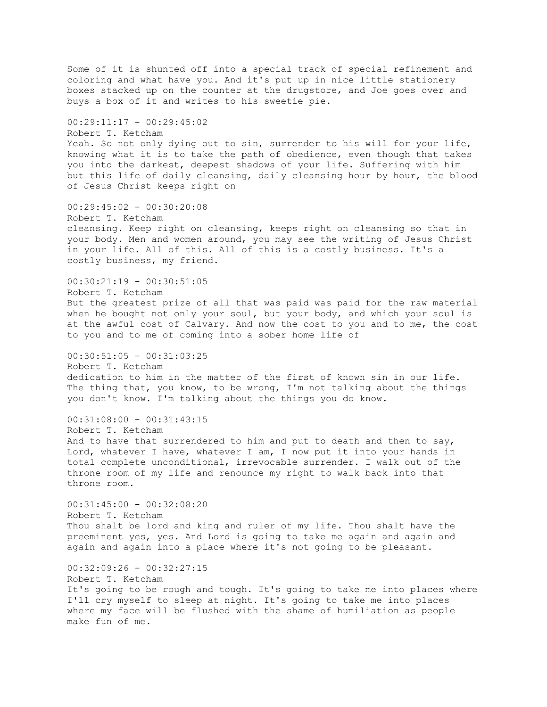Some of it is shunted off into a special track of special refinement and coloring and what have you. And it's put up in nice little stationery boxes stacked up on the counter at the drugstore, and Joe goes over and buys a box of it and writes to his sweetie pie.  $00:29:11:17 - 00:29:45:02$ Robert T. Ketcham Yeah. So not only dying out to sin, surrender to his will for your life, knowing what it is to take the path of obedience, even though that takes you into the darkest, deepest shadows of your life. Suffering with him but this life of daily cleansing, daily cleansing hour by hour, the blood of Jesus Christ keeps right on 00:29:45:02 - 00:30:20:08 Robert T. Ketcham cleansing. Keep right on cleansing, keeps right on cleansing so that in your body. Men and women around, you may see the writing of Jesus Christ in your life. All of this. All of this is a costly business. It's a costly business, my friend.  $00:30:21:19 - 00:30:51:05$ Robert T. Ketcham But the greatest prize of all that was paid was paid for the raw material when he bought not only your soul, but your body, and which your soul is at the awful cost of Calvary. And now the cost to you and to me, the cost to you and to me of coming into a sober home life of  $00:30:51:05 - 00:31:03:25$ Robert T. Ketcham dedication to him in the matter of the first of known sin in our life. The thing that, you know, to be wrong, I'm not talking about the things you don't know. I'm talking about the things you do know.  $00:31:08:00 - 00:31:43:15$ Robert T. Ketcham And to have that surrendered to him and put to death and then to say, Lord, whatever I have, whatever I am, I now put it into your hands in total complete unconditional, irrevocable surrender. I walk out of the throne room of my life and renounce my right to walk back into that throne room.  $00:31:45:00 - 00:32:08:20$ Robert T. Ketcham Thou shalt be lord and king and ruler of my life. Thou shalt have the preeminent yes, yes. And Lord is going to take me again and again and again and again into a place where it's not going to be pleasant.  $00:32:09:26 - 00:32:27:15$ Robert T. Ketcham It's going to be rough and tough. It's going to take me into places where I'll cry myself to sleep at night. It's going to take me into places where my face will be flushed with the shame of humiliation as people make fun of me.